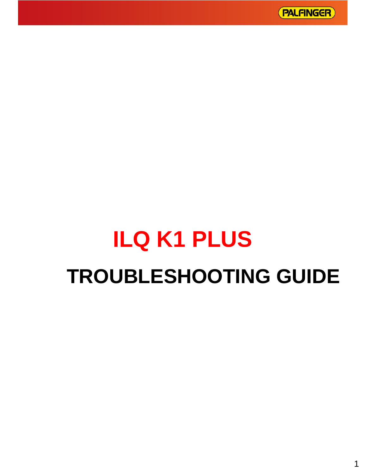

# **ILQ K1 PLUS TROUBLESHOOTING GUIDE**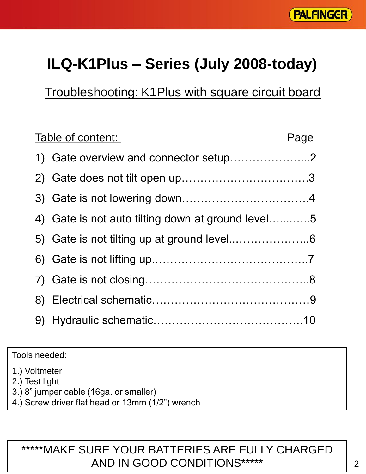

## **ILQ-K1Plus – Series (July 2008-today)**

Troubleshooting: K1Plus with square circuit board

| Table of content:                                 | Page |
|---------------------------------------------------|------|
| 1) Gate overview and connector setup2             |      |
|                                                   |      |
|                                                   |      |
| 4) Gate is not auto tilting down at ground level5 |      |
|                                                   |      |
|                                                   |      |
|                                                   |      |
|                                                   |      |
|                                                   |      |

Tools needed:

1.) Voltmeter

2.) Test light

- 3.) 8" jumper cable (16ga. or smaller)
- 4.) Screw driver flat head or 13mm (1/2") wrench

#### \*\*\*\*\*MAKE SURE YOUR BATTERIES ARE FULLY CHARGED AND IN GOOD CONDITIONS\*\*\*\*\*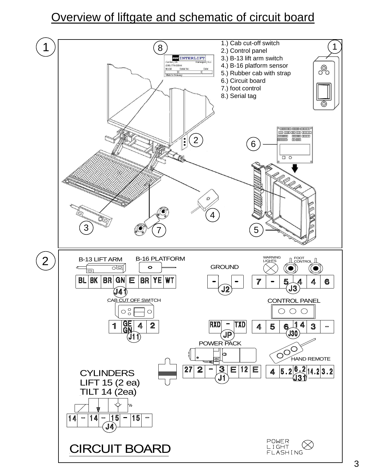#### Overview of liftgate and schematic of circuit board

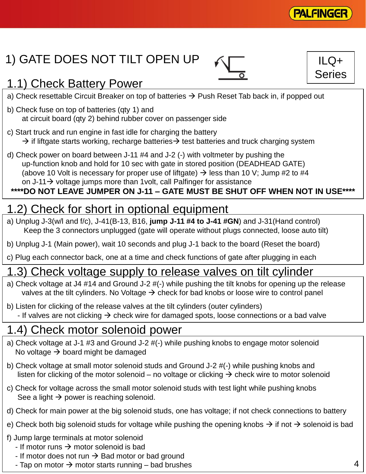

ILQ+ Series

## 1) GATE DOES NOT TILT OPEN UP

#### 1.1) Check Battery Power

- a) Check resettable Circuit Breaker on top of batteries  $\rightarrow$  Push Reset Tab back in, if popped out
- b) Check fuse on top of batteries (qty 1) and at circuit board (qty 2) behind rubber cover on passenger side
- c) Start truck and run engine in fast idle for charging the battery  $\rightarrow$  if liftgate starts working, recharge batteries  $\rightarrow$  test batteries and truck charging system
- d) Check power on board between J-11 #4 and J-2 (-) with voltmeter by pushing the up-function knob and hold for 10 sec with gate in stored position (DEADHEAD GATE) (above 10 Volt is necessary for proper use of liftgate)  $\rightarrow$  less than 10 V; Jump #2 to #4 on  $J-11 \rightarrow$  voltage jumps more than 1 volt, call Palfinger for assistance

#### **\*\*\*\*DO NOT LEAVE JUMPER ON J-11 – GATE MUST BE SHUT OFF WHEN NOT IN USE\*\*\*\***

#### 1.2) Check for short in optional equipment

- a) Unplug J-3(w/l and f/c), J-41(B-13, B16, **jump J-11 #4 to J-41 #GN**) and J-31(Hand control) Keep the 3 connectors unplugged (gate will operate without plugs connected, loose auto tilt)
- b) Unplug J-1 (Main power), wait 10 seconds and plug J-1 back to the board (Reset the board)
- c) Plug each connector back, one at a time and check functions of gate after plugging in each

#### 1.3) Check voltage supply to release valves on tilt cylinder

- a) Check voltage at J4 #14 and Ground J-2 #(-) while pushing the tilt knobs for opening up the release valves at the tilt cylinders. No Voltage  $\rightarrow$  check for bad knobs or loose wire to control panel
- b) Listen for clicking of the release valves at the tilt cylinders (outer cylinders) - If valves are not clicking  $\rightarrow$  check wire for damaged spots, loose connections or a bad valve

#### 1.4) Check motor solenoid power

- a) Check voltage at J-1 #3 and Ground J-2 #(-) while pushing knobs to engage motor solenoid No voltage  $\rightarrow$  board might be damaged
- b) Check voltage at small motor solenoid studs and Ground J-2 #(-) while pushing knobs and listen for clicking of the motor solenoid – no voltage or clicking  $\rightarrow$  check wire to motor solenoid
- c) Check for voltage across the small motor solenoid studs with test light while pushing knobs See a light  $\rightarrow$  power is reaching solenoid.
- d) Check for main power at the big solenoid studs, one has voltage; if not check connections to battery
- e) Check both big solenoid studs for voltage while pushing the opening knobs  $\rightarrow$  if not  $\rightarrow$  solenoid is bad
- f) Jump large terminals at motor solenoid
	- If motor runs  $\rightarrow$  motor solenoid is bad
	- If motor does not run  $\rightarrow$  Bad motor or bad ground
	- Tap on motor  $\rightarrow$  motor starts running bad brushes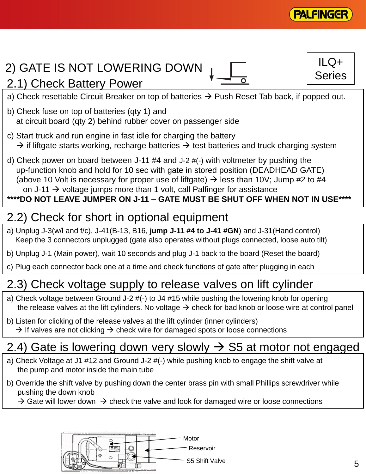

 $ILQ+$ 

Series

## 2) GATE IS NOT LOWERING DOWN

#### 2.1) Check Battery Power

- a) Check resettable Circuit Breaker on top of batteries  $\rightarrow$  Push Reset Tab back, if popped out.
- b) Check fuse on top of batteries (qty 1) and at circuit board (qty 2) behind rubber cover on passenger side
- c) Start truck and run engine in fast idle for charging the battery  $\rightarrow$  if liftgate starts working, recharge batteries  $\rightarrow$  test batteries and truck charging system
- d) Check power on board between J-11 #4 and J-2 #(-) with voltmeter by pushing the up-function knob and hold for 10 sec with gate in stored position (DEADHEAD GATE) (above 10 Volt is necessary for proper use of liftgate)  $\rightarrow$  less than 10V; Jump #2 to #4 on J-11  $\rightarrow$  voltage jumps more than 1 volt, call Palfinger for assistance

#### **\*\*\*\*DO NOT LEAVE JUMPER ON J-11 – GATE MUST BE SHUT OFF WHEN NOT IN USE\*\*\*\***

## 2.2) Check for short in optional equipment

- a) Unplug J-3(w/l and f/c), J-41(B-13, B16, **jump J-11 #4 to J-41 #GN**) and J-31(Hand control) Keep the 3 connectors unplugged (gate also operates without plugs connected, loose auto tilt)
- b) Unplug J-1 (Main power), wait 10 seconds and plug J-1 back to the board (Reset the board)
- c) Plug each connector back one at a time and check functions of gate after plugging in each

#### 2.3) Check voltage supply to release valves on lift cylinder

- a) Check voltage between Ground J-2 #(-) to J4 #15 while pushing the lowering knob for opening the release valves at the lift cylinders. No voltage  $\rightarrow$  check for bad knob or loose wire at control panel
- b) Listen for clicking of the release valves at the lift cylinder (inner cylinders)  $\rightarrow$  If valves are not clicking  $\rightarrow$  check wire for damaged spots or loose connections

## 2.4) Gate is lowering down very slowly  $\rightarrow$  S5 at motor not engaged

- a) Check Voltage at J1 #12 and Ground J-2 #(-) while pushing knob to engage the shift valve at the pump and motor inside the main tube
- b) Override the shift valve by pushing down the center brass pin with small Phillips screwdriver while pushing the down knob
	- $\rightarrow$  Gate will lower down  $\rightarrow$  check the valve and look for damaged wire or loose connections

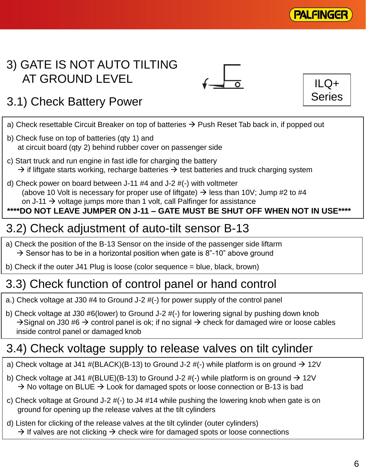

 $ILQ+$ Series

## 3) GATE IS NOT AUTO TILTING AT GROUND LEVEL



## 3.1) Check Battery Power

- a) Check resettable Circuit Breaker on top of batteries  $\rightarrow$  Push Reset Tab back in, if popped out
- b) Check fuse on top of batteries (qty 1) and at circuit board (qty 2) behind rubber cover on passenger side
- c) Start truck and run engine in fast idle for charging the battery  $\rightarrow$  if liftgate starts working, recharge batteries  $\rightarrow$  test batteries and truck charging system
- d) Check power on board between J-11 #4 and J-2 #(-) with voltmeter (above 10 Volt is necessary for proper use of liftgate)  $\rightarrow$  less than 10V; Jump #2 to #4 on J-11  $\rightarrow$  voltage jumps more than 1 volt, call Palfinger for assistance

**\*\*\*\*DO NOT LEAVE JUMPER ON J-11 – GATE MUST BE SHUT OFF WHEN NOT IN USE\*\*\*\***

#### 3.2) Check adjustment of auto-tilt sensor B-13

- a) Check the position of the B-13 Sensor on the inside of the passenger side liftarm  $\rightarrow$  Sensor has to be in a horizontal position when gate is 8"-10" above ground
- b) Check if the outer J41 Plug is loose (color sequence = blue, black, brown)

#### 3.3) Check function of control panel or hand control

- a.) Check voltage at J30 #4 to Ground J-2 #(-) for power supply of the control panel
- b) Check voltage at J30 #6(lower) to Ground J-2 #(-) for lowering signal by pushing down knob  $\rightarrow$  Signal on J30 #6  $\rightarrow$  control panel is ok; if no signal  $\rightarrow$  check for damaged wire or loose cables inside control panel or damaged knob

#### 3.4) Check voltage supply to release valves on tilt cylinder

- a) Check voltage at J41 #(BLACK)(B-13) to Ground J-2 #(-) while platform is on ground  $\rightarrow$  12V
- b) Check voltage at J41 #(BLUE)(B-13) to Ground J-2 #(-) while platform is on ground  $\rightarrow$  12V  $\rightarrow$  No voltage on BLUE  $\rightarrow$  Look for damaged spots or loose connection or B-13 is bad
- c) Check voltage at Ground J-2 #(-) to J4 #14 while pushing the lowering knob when gate is on ground for opening up the release valves at the tilt cylinders
- d) Listen for clicking of the release valves at the tilt cylinder (outer cylinders)  $\rightarrow$  If valves are not clicking  $\rightarrow$  check wire for damaged spots or loose connections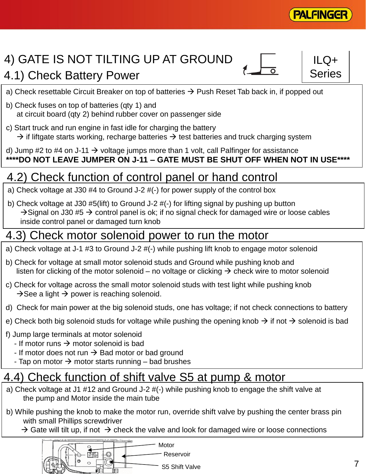

## 4) GATE IS NOT TILTING UP AT GROUND



 $ILQ+$ Series

- a) Check resettable Circuit Breaker on top of batteries  $\rightarrow$  Push Reset Tab back in, if popped out
- b) Check fuses on top of batteries (qty 1) and at circuit board (qty 2) behind rubber cover on passenger side
- c) Start truck and run engine in fast idle for charging the battery  $\rightarrow$  if liftgate starts working, recharge batteries  $\rightarrow$  test batteries and truck charging system
- d) Jump #2 to #4 on J-11  $\rightarrow$  voltage jumps more than 1 volt, call Palfinger for assistance **\*\*\*\*DO NOT LEAVE JUMPER ON J-11 – GATE MUST BE SHUT OFF WHEN NOT IN USE\*\*\*\***

## 4.2) Check function of control panel or hand control

- a) Check voltage at J30 #4 to Ground J-2 #(-) for power supply of the control box
- b) Check voltage at J30 #5(lift) to Ground J-2 #(-) for lifting signal by pushing up button  $\rightarrow$  Signal on J30 #5  $\rightarrow$  control panel is ok; if no signal check for damaged wire or loose cables inside control panel or damaged turn knob

#### 4.3) Check motor solenoid power to run the motor

- a) Check voltage at J-1 #3 to Ground J-2 #(-) while pushing lift knob to engage motor solenoid
- b) Check for voltage at small motor solenoid studs and Ground while pushing knob and listen for clicking of the motor solenoid – no voltage or clicking  $\rightarrow$  check wire to motor solenoid
- c) Check for voltage across the small motor solenoid studs with test light while pushing knob  $\rightarrow$  See a light  $\rightarrow$  power is reaching solenoid.
- d) Check for main power at the big solenoid studs, one has voltage; if not check connections to battery
- e) Check both big solenoid studs for voltage while pushing the opening knob  $\rightarrow$  if not  $\rightarrow$  solenoid is bad
- f) Jump large terminals at motor solenoid
	- If motor runs  $\rightarrow$  motor solenoid is bad
	- If motor does not run  $\rightarrow$  Bad motor or bad ground
	- Tap on motor  $\rightarrow$  motor starts running bad brushes

## 4.4) Check function of shift valve S5 at pump & motor

- a) Check voltage at J1 #12 and Ground J-2 #(-) while pushing knob to engage the shift valve at the pump and Motor inside the main tube
- b) While pushing the knob to make the motor run, override shift valve by pushing the center brass pin with small Phillips screwdriver
	- $\rightarrow$  Gate will tilt up, if not  $\rightarrow$  check the valve and look for damaged wire or loose connections

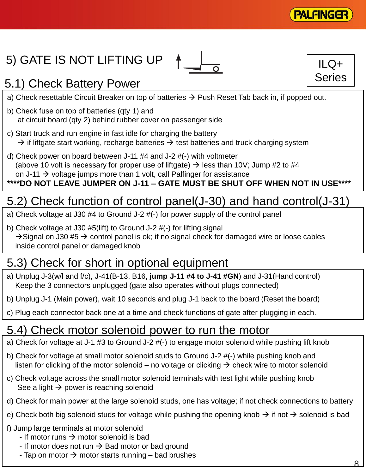

 $ILQ+$ 

Series

## 5) GATE IS NOT LIFTING UP



#### 5.1) Check Battery Power

- a) Check resettable Circuit Breaker on top of batteries  $\rightarrow$  Push Reset Tab back in, if popped out.
- b) Check fuse on top of batteries (qty 1) and at circuit board (qty 2) behind rubber cover on passenger side
- c) Start truck and run engine in fast idle for charging the battery  $\rightarrow$  if liftgate start working, recharge batteries  $\rightarrow$  test batteries and truck charging system
- d) Check power on board between J-11 #4 and J-2 #(-) with voltmeter (above 10 volt is necessary for proper use of liftgate)  $\rightarrow$  less than 10V; Jump #2 to #4 on J-11  $\rightarrow$  voltage jumps more than 1 volt, call Palfinger for assistance

#### **\*\*\*\*DO NOT LEAVE JUMPER ON J-11 – GATE MUST BE SHUT OFF WHEN NOT IN USE\*\*\*\***

## 5.2) Check function of control panel(J-30) and hand control(J-31)

- a) Check voltage at J30 #4 to Ground J-2 #(-) for power supply of the control panel
- b) Check voltage at J30 #5(lift) to Ground J-2 #(-) for lifting signal  $\rightarrow$  Signal on J30 #5  $\rightarrow$  control panel is ok; if no signal check for damaged wire or loose cables inside control panel or damaged knob

#### 5.3) Check for short in optional equipment

- a) Unplug J-3(w/l and f/c), J-41(B-13, B16, **jump J-11 #4 to J-41 #GN**) and J-31(Hand control) Keep the 3 connectors unplugged (gate also operates without plugs connected)
- b) Unplug J-1 (Main power), wait 10 seconds and plug J-1 back to the board (Reset the board)
- c) Plug each connector back one at a time and check functions of gate after plugging in each.

#### 5.4) Check motor solenoid power to run the motor

- a) Check for voltage at J-1 #3 to Ground J-2 #(-) to engage motor solenoid while pushing lift knob
- b) Check for voltage at small motor solenoid studs to Ground J-2 #(-) while pushing knob and listen for clicking of the motor solenoid – no voltage or clicking  $\rightarrow$  check wire to motor solenoid
- c) Check voltage across the small motor solenoid terminals with test light while pushing knob See a light  $\rightarrow$  power is reaching solenoid
- d) Check for main power at the large solenoid studs, one has voltage; if not check connections to battery
- e) Check both big solenoid studs for voltage while pushing the opening knob  $\rightarrow$  if not  $\rightarrow$  solenoid is bad
- f) Jump large terminals at motor solenoid
	- If motor runs  $\rightarrow$  motor solenoid is bad
	- If motor does not run  $\rightarrow$  Bad motor or bad ground
	- Tap on motor  $\rightarrow$  motor starts running bad brushes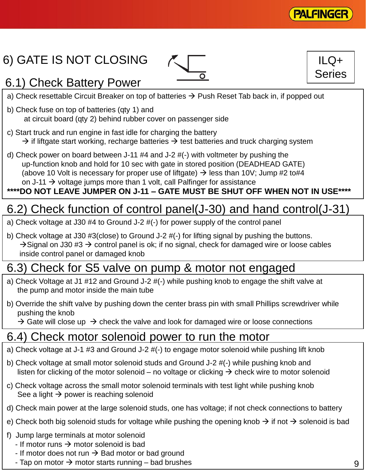

 $ILQ+$ 

Series

## 6) GATE IS NOT CLOSING





- a) Check resettable Circuit Breaker on top of batteries  $\rightarrow$  Push Reset Tab back in, if popped out
- b) Check fuse on top of batteries (qty 1) and at circuit board (qty 2) behind rubber cover on passenger side
- c) Start truck and run engine in fast idle for charging the battery  $\rightarrow$  if liftgate start working, recharge batteries  $\rightarrow$  test batteries and truck charging system
- d) Check power on board between J-11 #4 and J-2 #(-) with voltmeter by pushing the up-function knob and hold for 10 sec with gate in stored position (DEADHEAD GATE) (above 10 Volt is necessary for proper use of liftgate)  $\rightarrow$  less than 10V; Jump #2 to#4 on J-11  $\rightarrow$  voltage jumps more than 1 volt, call Palfinger for assistance

#### **\*\*\*\*DO NOT LEAVE JUMPER ON J-11 – GATE MUST BE SHUT OFF WHEN NOT IN USE\*\*\*\***

#### 6.2) Check function of control panel(J-30) and hand control(J-31)

- a) Check voltage at J30 #4 to Ground J-2 #(-) for power supply of the control panel
- b) Check voltage at J30 #3(close) to Ground J-2 #(-) for lifting signal by pushing the buttons.  $\rightarrow$  Signal on J30 #3  $\rightarrow$  control panel is ok; if no signal, check for damaged wire or loose cables inside control panel or damaged knob

#### 6.3) Check for S5 valve on pump & motor not engaged

- a) Check Voltage at J1 #12 and Ground J-2 #(-) while pushing knob to engage the shift valve at the pump and motor inside the main tube
- b) Override the shift valve by pushing down the center brass pin with small Phillips screwdriver while pushing the knob

 $\rightarrow$  Gate will close up  $\rightarrow$  check the valve and look for damaged wire or loose connections

#### 6.4) Check motor solenoid power to run the motor

- a) Check voltage at J-1 #3 and Ground J-2 #(-) to engage motor solenoid while pushing lift knob
- b) Check voltage at small motor solenoid studs and Ground J-2 #(-) while pushing knob and listen for clicking of the motor solenoid – no voltage or clicking  $\rightarrow$  check wire to motor solenoid
- c) Check voltage across the small motor solenoid terminals with test light while pushing knob See a light  $\rightarrow$  power is reaching solenoid
- d) Check main power at the large solenoid studs, one has voltage; if not check connections to battery
- e) Check both big solenoid studs for voltage while pushing the opening knob  $\rightarrow$  if not  $\rightarrow$  solenoid is bad
- f) Jump large terminals at motor solenoid
	- If motor runs  $\rightarrow$  motor solenoid is bad
	- If motor does not run  $\rightarrow$  Bad motor or bad ground
	- Tap on motor  $\rightarrow$  motor starts running bad brushes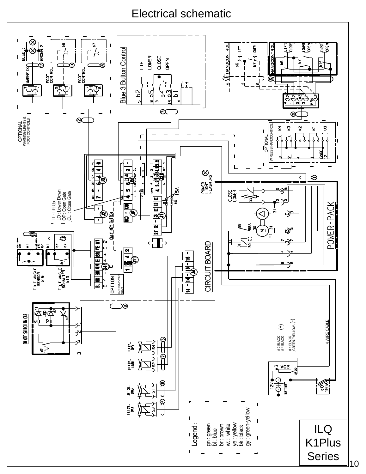#### Electrical schematic